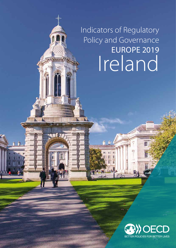Indicators of Regulatory Policy and Governance EUROPE 2019 Ireland



g

Ě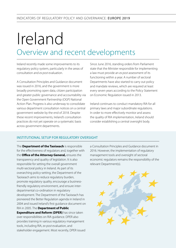# Overview and recent developments Ireland

Ireland recently made some improvements to its regulatory policy system, particularly in the areas of consultation and *ex post* evaluation.

A Consultation Principles and Guidance document was issued in 2016, and the government is more broadly promoting open data, citizen participation and greater public governance and accountability via the Open Government Partnership (OGP) National Action Plan. Progress is also underway to consolidate various department consultation notices on a central government website by the end of 2018. Despite these recent improvements, Ireland's consultation practices do not yet operate on a systematic basis across government departments.

Since June 2016, standing orders from Parliament state that the Minister responsible for implementing a law must provide an *ex post* assessment of its functioning within a year. A number of sectoral Departments have also started to carry out policy and mandate reviews, which are required at least every seven years according to the Policy Statement on Economic Regulation issued in 2013.

Ireland continues to conduct mandatory RIA for all primary laws and major subordinate regulations. In order to more effectively monitor and assess the quality of RIA implementation, Ireland should consider establishing a central oversight body.

### INSTITUTIONAL SETUP FOR REGULATORY OVERSIGHT

The **Department of the Taoiseach** is responsible for the effectiveness of regulators and, together with the **Office of the Attorney General,** ensures the transparency and quality of legislation. It is also responsible for setting the overall government multi-sectoral policy in Ireland. As part of its overarching policy-setting, the Department of the Taoiseach aims to reduce regulatory burden, promote regulatory quality, encourage a businessfriendly regulatory environment, and ensure interdepartmental co-ordination in regulatory development. The Department of the Taoiseach has pioneered the Better Regulation agenda in Ireland in 2004 and issued Ireland's first guidance document on RIA in 2005. The **Department of Public Expenditure and Reform (DPER)** has since taken over responsibilities on RIA guidance. DPER also provides training in various regulatory management tools, including RIA, *ex-post* evaluation, and stakeholder engagement. Most recently, DPER issued

a Consultation Principles and Guidance document in 2016. However, the implementation of regulatory management tools and oversight of sectoral economic regulators remains the responsibility of the relevant Department(s).

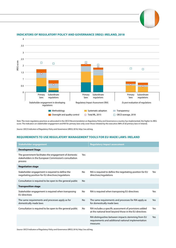

#### **INDICATORS OF REGULATORY POLICY AND GOVERNANCE (IREG): IRELAND, 2018**

*Note:* The more regulatory practices as advocated in the *[OECD Recommendation on Regulatory Policy and Governance](http://www.oecd.org/governance/regulatory-policy/2012-recommendation.htm)* a country has implemented, the higher its iREG score. The indicators on stakeholder engagement and RIA for primary laws only cover those initiated by the executive (98% of all primary laws in Ireland).

*Source: OECD Indicators of Regulatory Policy and Governance* (iREG) 2018, [http://oe.cd/ireg.](http://oe.cd/ireg)

#### **REQUIREMENTS TO USE REGULATORY MANAGEMENT TOOLS FOR EU-MADE LAWS: IRELAND**

| <b>Stakeholder engagement</b>                                                                                              |           | <b>Regulatory impact assessment</b>                                                                                   |            |
|----------------------------------------------------------------------------------------------------------------------------|-----------|-----------------------------------------------------------------------------------------------------------------------|------------|
| <b>Development Stage</b>                                                                                                   |           |                                                                                                                       |            |
| The government facilitates the engagement of domestic<br>stakeholders in the European Commission's consultation<br>process | Yes       |                                                                                                                       |            |
| <b>Negotiation stage</b>                                                                                                   |           |                                                                                                                       |            |
| Stakeholder engagement is required to define the<br>negotiating position for EU directives/regulations                     | <b>No</b> | RIA is required to define the negotiating position for EU<br>directives/regulations                                   | Yes        |
| Consultation is required to be open to the general public                                                                  | No        |                                                                                                                       |            |
| <b>Transposition stage</b>                                                                                                 |           |                                                                                                                       |            |
| Stakeholder engagement is required when transposing<br><b>EU</b> directives                                                | No        | RIA is required when transposing EU directives                                                                        | Yes        |
| The same requirements and processes apply as for<br>domestically made laws                                                 | <b>No</b> | The same requirements and processes for RIA apply as<br>for domestically made laws                                    | Yes        |
| Consultation is required to be open to the general public                                                                  | No        | RIA includes a specific assessment of provisions added<br>at the national level beyond those in the EU directives     | Yes        |
|                                                                                                                            |           | RIA distinguishes between impacts stemming from EU<br>requirements and additional national implementation<br>measures | <b>Yes</b> |

*Source: OECD Indicators of Regulatory Policy and Governance* (iREG) 2018,<http://oe.cd/ireg>.